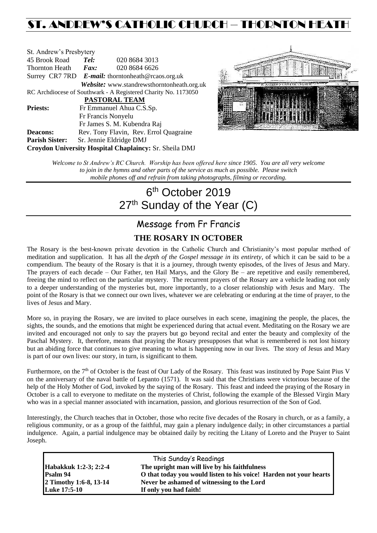# ST. ANDREW'S CATHOLIC CHURCH – THORNTON HEAT

| St. Andrew's Presbytery                                |                                                      |                                                                |  |  |  |
|--------------------------------------------------------|------------------------------------------------------|----------------------------------------------------------------|--|--|--|
| 45 Brook Road                                          | Tel:                                                 | 020 8684 3013                                                  |  |  |  |
| Thornton Heath                                         | Fax:                                                 | 020 8684 6626                                                  |  |  |  |
|                                                        | Surrey CR7 7RD $E$ -mail: thorntonheath@rcaos.org.uk |                                                                |  |  |  |
|                                                        |                                                      | Website: www.standrewsthorntonheath.org.uk                     |  |  |  |
|                                                        |                                                      | RC Archdiocese of Southwark - A Registered Charity No. 1173050 |  |  |  |
| <b>PASTORAL TEAM</b>                                   |                                                      |                                                                |  |  |  |
| <b>Priests:</b>                                        |                                                      | Fr Emmanuel Ahua C.S.Sp.                                       |  |  |  |
|                                                        |                                                      | Fr Francis Nonyelu                                             |  |  |  |
|                                                        |                                                      | Fr James S. M. Kubendra Raj                                    |  |  |  |
| <b>Deacons:</b>                                        |                                                      | Rev. Tony Flavin, Rev. Errol Quagraine                         |  |  |  |
| <b>Parish Sister:</b>                                  |                                                      | Sr. Jennie Eldridge DMJ                                        |  |  |  |
| Croydon University Hospital Chaplaincy: Sr. Sheila DMJ |                                                      |                                                                |  |  |  |



*Welcome to St Andrew's RC Church. Worship has been offered here since 1905. You are all very welcome to join in the hymns and other parts of the service as much as possible. Please switch mobile phones off and refrain from taking photographs, filming or recording.*

# 6<sup>th</sup> October 2019 27<sup>th</sup> Sunday of the Year (C)

# Message from Fr Francis **THE ROSARY IN OCTOBER**

The Rosary is the best-known private devotion in the Catholic Church and Christianity's most popular method of meditation and supplication. It has all the *depth of the Gospel message in its entirety*, of which it can be said to be a compendium. The beauty of the Rosary is that it is a journey, through twenty episodes, of the lives of Jesus and Mary. The prayers of each decade – Our Father, ten Hail Marys, and the Glory Be – are repetitive and easily remembered, freeing the mind to reflect on the particular mystery. The recurrent prayers of the Rosary are a vehicle leading not only to a deeper understanding of the mysteries but, more importantly, to a closer relationship with Jesus and Mary. The point of the Rosary is that we connect our own lives, whatever we are celebrating or enduring at the time of prayer, to the lives of Jesus and Mary.

More so, in praying the Rosary, we are invited to place ourselves in each scene, imagining the people, the places, the sights, the sounds, and the emotions that might be experienced during that actual event. Meditating on the Rosary we are invited and encouraged not only to say the prayers but go beyond recital and enter the beauty and complexity of the Paschal Mystery. It, therefore, means that praying the Rosary presupposes that what is remembered is not lost history but an abiding force that continues to give meaning to what is happening now in our lives. The story of Jesus and Mary is part of our own lives: our story, in turn, is significant to them.

Furthermore, on the 7<sup>th</sup> of October is the feast of Our Lady of the Rosary. This feast was instituted by Pope Saint Pius V on the anniversary of the naval battle of Lepanto (1571). It was said that the Christians were victorious because of the help of the Holy Mother of God, invoked by the saying of the Rosary. This feast and indeed the praying of the Rosary in October is a call to everyone to meditate on the mysteries of Christ, following the example of the Blessed Virgin Mary who was in a special manner associated with incarnation, passion, and glorious resurrection of the Son of God.

Interestingly, the Church teaches that in October, those who recite five decades of the Rosary in church, or as a family, a religious community, or as a group of the faithful, may gain a plenary indulgence daily; in other circumstances a partial indulgence. Again, a partial indulgence may be obtained daily by reciting the Litany of Loreto and the Prayer to Saint Joseph.

| This Sunday's Readings |                                                                    |  |  |  |
|------------------------|--------------------------------------------------------------------|--|--|--|
| Habakkuk 1:2-3; 2:2-4  | The upright man will live by his faithfulness                      |  |  |  |
| <b>Psalm 94</b>        | O that today you would listen to his voice! Harden not your hearts |  |  |  |
| 2 Timothy 1:6-8, 13-14 | Never be ashamed of witnessing to the Lord                         |  |  |  |
| <b>Luke 17:5-10</b>    | If only you had faith!                                             |  |  |  |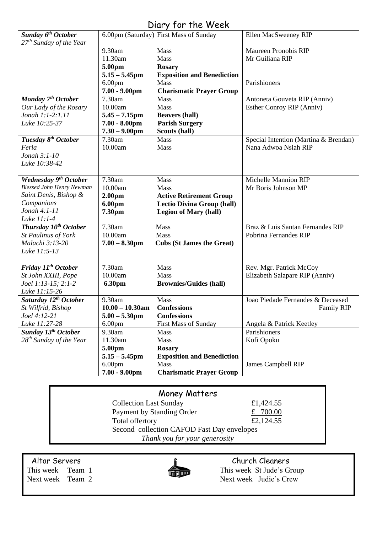# Diary for the Week

| <b>Sunday 6th October</b>                        |                    | 6.00pm (Saturday) First Mass of Sunday | Ellen MacSweeney RIP                  |
|--------------------------------------------------|--------------------|----------------------------------------|---------------------------------------|
| 27 <sup>th</sup> Sunday of the Year              |                    |                                        |                                       |
|                                                  | 9.30am             | Mass                                   | <b>Maureen Pronobis RIP</b>           |
|                                                  | 11.30am            | <b>Mass</b>                            | Mr Guiliana RIP                       |
|                                                  | 5.00pm             | <b>Rosary</b>                          |                                       |
|                                                  | $5.15 - 5.45$ pm   | <b>Exposition and Benediction</b>      |                                       |
|                                                  | 6.00 <sub>pm</sub> | <b>Mass</b>                            | Parishioners                          |
|                                                  | $7.00 - 9.00$ pm   | <b>Charismatic Prayer Group</b>        |                                       |
| $\overline{M}$ onday 7 <sup>th</sup> October     | 7.30am             | <b>Mass</b>                            | Antoneta Gouveta RIP (Anniv)          |
| Our Lady of the Rosary                           | 10.00am            | Mass                                   | Esther Conroy RIP (Anniv)             |
| Jonah 1:1-2:1.11                                 | $5.45 - 7.15$ pm   | <b>Beavers (hall)</b>                  |                                       |
| Luke 10:25-37                                    | $7.00 - 8.00$ pm   | <b>Parish Surgery</b>                  |                                       |
|                                                  | $7.30 - 9.00$ pm   | Scouts (hall)                          |                                       |
| Tuesday 8 <sup>th</sup> October                  | 7.30am             | Mass                                   | Special Intention (Martina & Brendan) |
| Feria                                            | 10.00am            | Mass                                   | Nana Adwoa Nsiah RIP                  |
| Jonah 3:1-10                                     |                    |                                        |                                       |
| Luke 10:38-42                                    |                    |                                        |                                       |
|                                                  |                    |                                        |                                       |
| Wednesday 9 <sup>th</sup> October                | 7.30am             | <b>Mass</b>                            | <b>Michelle Mannion RIP</b>           |
| <b>Blessed John Henry Newman</b>                 | 10.00am            | Mass                                   | Mr Boris Johnson MP                   |
| Saint Denis, Bishop &                            | 2.00 <sub>pm</sub> | <b>Active Retirement Group</b>         |                                       |
| Companions<br>Jonah $4:1-11$                     | 6.00pm             | <b>Lectio Divina Group (hall)</b>      |                                       |
|                                                  | 7.30pm             | <b>Legion of Mary (hall)</b>           |                                       |
| Luke 11:1-4<br>Thursday 10 <sup>th</sup> October | 7.30am             | Mass                                   | Braz & Luis Santan Fernandes RIP      |
| <b>St Paulinus of York</b>                       | 10.00am            | Mass                                   | Pobrina Fernandes RIP                 |
| Malachi 3:13-20                                  | $7.00 - 8.30$ pm   | <b>Cubs (St James the Great)</b>       |                                       |
| Luke 11:5-13                                     |                    |                                        |                                       |
|                                                  |                    |                                        |                                       |
| Friday 11 <sup>th</sup> October                  | 7.30am             | Mass                                   | Rev. Mgr. Patrick McCoy               |
| St John XXIII, Pope                              | 10.00am            | <b>Mass</b>                            | Elizabeth Salapare RIP (Anniv)        |
| Joel 1:13-15; 2:1-2                              | 6.30pm             | <b>Brownies/Guides (hall)</b>          |                                       |
| Luke 11:15-26                                    |                    |                                        |                                       |
| Saturday 12 <sup>th</sup> October                | 9.30am             | <b>Mass</b>                            | Joao Piedade Fernandes & Deceased     |
| St Wilfrid, Bishop                               | $10.00 - 10.30$ am | <b>Confessions</b>                     | <b>Family RIP</b>                     |
| Joel 4:12-21                                     | $5.00 - 5.30$ pm   | <b>Confessions</b>                     |                                       |
| Luke 11:27-28                                    | 6.00 <sub>pm</sub> | <b>First Mass of Sunday</b>            | Angela & Patrick Keetley              |
| Sunday 13 <sup>th</sup> October                  | 9.30am             | Mass                                   | Parishioners                          |
| $28^{th}$ Sunday of the Year                     | 11.30am            | Mass                                   | Kofi Opoku                            |
|                                                  | 5.00pm             | <b>Rosary</b>                          |                                       |
|                                                  | $5.15 - 5.45$ pm   | <b>Exposition and Benediction</b>      |                                       |
|                                                  | 6.00 <sub>pm</sub> | Mass                                   | James Campbell RIP                    |
|                                                  | $7.00 - 9.00$ pm   | <b>Charismatic Prayer Group</b>        |                                       |

# Money Matters

| <b>Collection Last Sunday</b>              | £1,424.55  |  |  |  |
|--------------------------------------------|------------|--|--|--|
| Payment by Standing Order                  | £ $700.00$ |  |  |  |
| Total offertory                            | £2,124.55  |  |  |  |
| Second collection CAFOD Fast Day envelopes |            |  |  |  |
| Thank you for your generosity              |            |  |  |  |



Altar Servers<br>
This week Team 1 This week St Jude's Gram This week St Jude's Group Next week Team 2 Next week Judie's Crew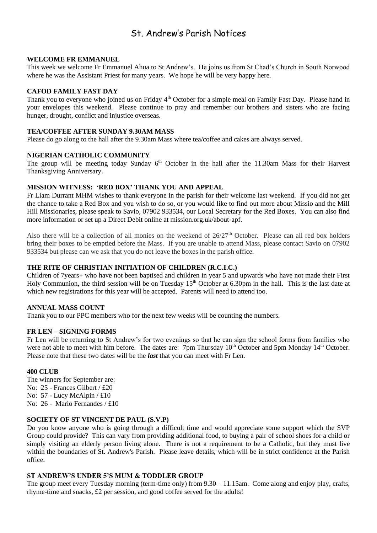# St. Andrew's Parish Notices

#### **WELCOME FR EMMANUEL**

This week we welcome Fr Emmanuel Ahua to St Andrew's. He joins us from St Chad's Church in South Norwood where he was the Assistant Priest for many years. We hope he will be very happy here.

#### **CAFOD FAMILY FAST DAY**

Thank you to everyone who joined us on Friday 4<sup>th</sup> October for a simple meal on Family Fast Day. Please hand in your envelopes this weekend. Please continue to pray and remember our brothers and sisters who are facing hunger, drought, conflict and injustice overseas.

#### **TEA/COFFEE AFTER SUNDAY 9.30AM MASS**

Please do go along to the hall after the 9.30am Mass where tea/coffee and cakes are always served.

#### **NIGERIAN CATHOLIC COMMUNITY**

The group will be meeting today Sunday  $6<sup>th</sup>$  October in the hall after the 11.30am Mass for their Harvest Thanksgiving Anniversary.

# **MISSION WITNESS: 'RED BOX' THANK YOU AND APPEAL**

Fr Liam Durrant MHM wishes to thank everyone in the parish for their welcome last weekend. If you did not get the chance to take a Red Box and you wish to do so, or you would like to find out more about Missio and the Mill Hill Missionaries, please speak to Savio, 07902 933534, our Local Secretary for the Red Boxes. You can also find more information or set up a Direct Debit online at mission.org.uk/about-apf.

Also there will be a collection of all monies on the weekend of  $26/27<sup>th</sup>$  October. Please can all red box holders bring their boxes to be emptied before the Mass. If you are unable to attend Mass, please contact Savio on 07902 933534 but please can we ask that you do not leave the boxes in the parish office.

# **THE RITE OF CHRISTIAN INITIATION OF CHILDREN (R.C.I.C.)**

Children of 7years+ who have not been baptised and children in year 5 and upwards who have not made their First Holy Communion, the third session will be on Tuesday  $15<sup>th</sup>$  October at 6.30pm in the hall. This is the last date at which new registrations for this year will be accepted. Parents will need to attend too.

#### **ANNUAL MASS COUNT**

Thank you to our PPC members who for the next few weeks will be counting the numbers.

#### **FR LEN – SIGNING FORMS**

Fr Len will be returning to St Andrew's for two evenings so that he can sign the school forms from families who were not able to meet with him before. The dates are:  $7<sub>pm</sub>$  Thursday 10<sup>th</sup> October and 5pm Monday 14<sup>th</sup> October. Please note that these two dates will be the *last* that you can meet with Fr Len.

#### **400 CLUB**

The winners for September are: No: 25 - Frances Gilbert / £20 No: 57 - Lucy McAlpin / £10 No: 26 - Mario Fernandes / £10

### **SOCIETY OF ST VINCENT DE PAUL (S.V.P)**

Do you know anyone who is going through a difficult time and would appreciate some support which the SVP Group could provide? This can vary from providing additional food, to buying a pair of school shoes for a child or simply visiting an elderly person living alone. There is not a requirement to be a Catholic, but they must live within the boundaries of St. Andrew's Parish. Please leave details, which will be in strict confidence at the Parish office.

### **ST ANDREW'S UNDER 5'S MUM & TODDLER GROUP**

The group meet every Tuesday morning (term-time only) from 9.30 – 11.15am. Come along and enjoy play, crafts, rhyme-time and snacks, £2 per session, and good coffee served for the adults!